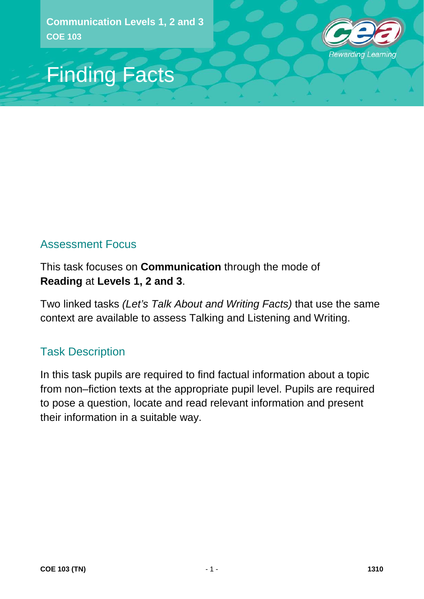

## Finding Facts

## Assessment Focus

This task focuses on **Communication** through the mode of **Reading** at **Levels 1, 2 and 3**.

Two linked tasks *(Let's Talk About and Writing Facts)* that use the same context are available to assess Talking and Listening and Writing.

## Task Description

In this task pupils are required to find factual information about a topic from non–fiction texts at the appropriate pupil level. Pupils are required to pose a question, locate and read relevant information and present their information in a suitable way.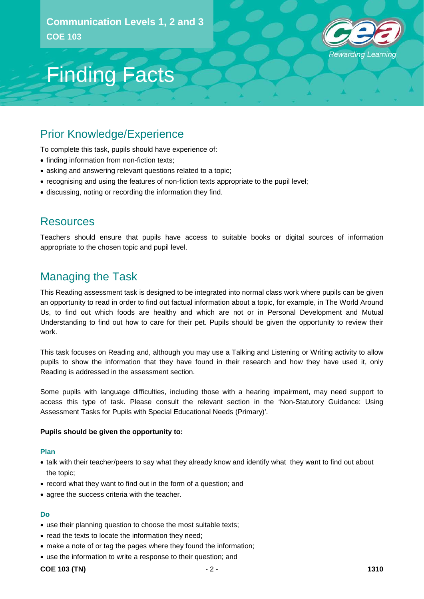

## Finding Facts

### Prior Knowledge/Experience

To complete this task, pupils should have experience of:

- finding information from non-fiction texts;
- asking and answering relevant questions related to a topic;
- recognising and using the features of non-fiction texts appropriate to the pupil level;
- discussing, noting or recording the information they find.

### Resources

Teachers should ensure that pupils have access to suitable books or digital sources of information appropriate to the chosen topic and pupil level.

### Managing the Task

This Reading assessment task is designed to be integrated into normal class work where pupils can be given an opportunity to read in order to find out factual information about a topic, for example, in The World Around Us, to find out which foods are healthy and which are not or in Personal Development and Mutual Understanding to find out how to care for their pet. Pupils should be given the opportunity to review their work.

This task focuses on Reading and, although you may use a Talking and Listening or Writing activity to allow pupils to show the information that they have found in their research and how they have used it, only Reading is addressed in the assessment section.

Some pupils with language difficulties, including those with a hearing impairment, may need support to access this type of task. Please consult the relevant section in the 'Non-Statutory Guidance: Using Assessment Tasks for Pupils with Special Educational Needs (Primary)'.

#### **Pupils should be given the opportunity to:**

#### **Plan**

- talk with their teacher/peers to say what they already know and identify what they want to find out about the topic;
- record what they want to find out in the form of a question; and
- agree the success criteria with the teacher.

#### **Do**

- use their planning question to choose the most suitable texts;
- read the texts to locate the information they need;
- make a note of or tag the pages where they found the information;
- use the information to write a response to their question; and

#### **COE 103 (TN)**  $-2$  - **1310**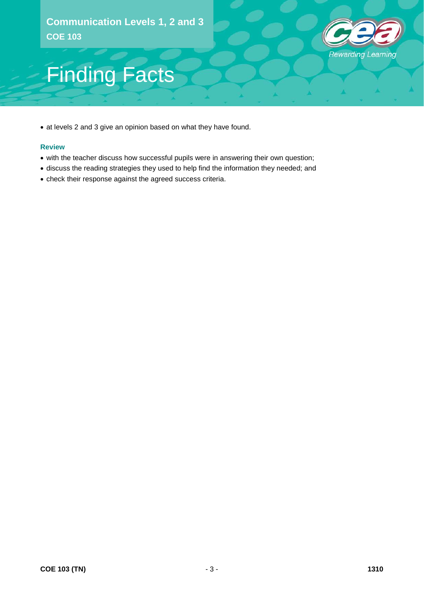

# Finding Facts

• at levels 2 and 3 give an opinion based on what they have found.

#### **Review**

- with the teacher discuss how successful pupils were in answering their own question;
- discuss the reading strategies they used to help find the information they needed; and
- check their response against the agreed success criteria.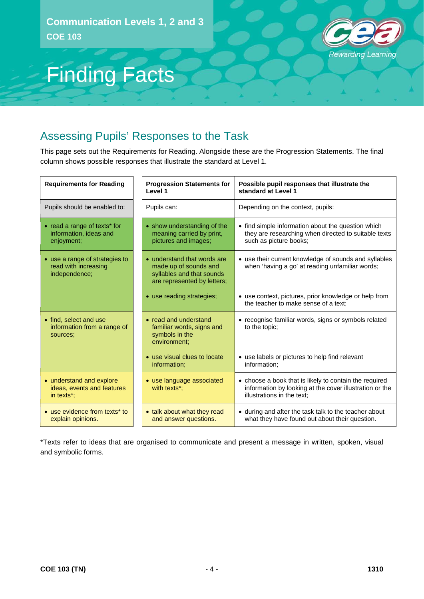

## Finding Facts

## Assessing Pupils' Responses to the Task

This page sets out the Requirements for Reading. Alongside these are the Progression Statements. The final column shows possible responses that illustrate the standard at Level 1.

| <b>Requirements for Reading</b>                                              | <b>Progression Statements for</b><br>Level 1                                                                     | Possible pupil responses that illustrate the<br>standard at Level 1                                                                             |
|------------------------------------------------------------------------------|------------------------------------------------------------------------------------------------------------------|-------------------------------------------------------------------------------------------------------------------------------------------------|
| Pupils should be enabled to:                                                 | Pupils can:                                                                                                      | Depending on the context, pupils:                                                                                                               |
| $\bullet$ read a range of texts* for<br>information, ideas and<br>enjoyment; | • show understanding of the<br>meaning carried by print,<br>pictures and images;                                 | • find simple information about the question which<br>they are researching when directed to suitable texts<br>such as picture books;            |
| • use a range of strategies to<br>read with increasing<br>independence;      | • understand that words are<br>made up of sounds and<br>syllables and that sounds<br>are represented by letters; | • use their current knowledge of sounds and syllables<br>when 'having a go' at reading unfamiliar words;                                        |
|                                                                              | • use reading strategies;                                                                                        | • use context, pictures, prior knowledge or help from<br>the teacher to make sense of a text:                                                   |
| • find, select and use<br>information from a range of<br>sources:            | • read and understand<br>familiar words, signs and<br>symbols in the<br>environment:                             | • recognise familiar words, signs or symbols related<br>to the topic:                                                                           |
|                                                                              | • use visual clues to locate<br>information;                                                                     | • use labels or pictures to help find relevant<br>information;                                                                                  |
| • understand and explore<br>ideas, events and features<br>in texts*;         | • use language associated<br>with texts*;                                                                        | • choose a book that is likely to contain the required<br>information by looking at the cover illustration or the<br>illustrations in the text: |
| • use evidence from texts* to<br>explain opinions.                           | • talk about what they read<br>and answer questions.                                                             | • during and after the task talk to the teacher about<br>what they have found out about their question.                                         |

\*Texts refer to ideas that are organised to communicate and present a message in written, spoken, visual and symbolic forms.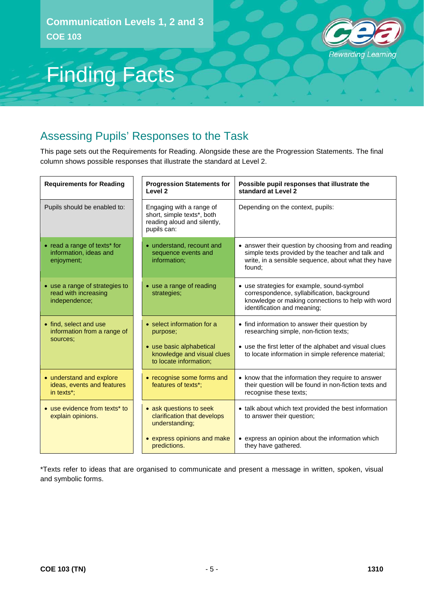

# Finding Facts

## Assessing Pupils' Responses to the Task

This page sets out the Requirements for Reading. Alongside these are the Progression Statements. The final column shows possible responses that illustrate the standard at Level 2.

| <b>Requirements for Reading</b>                                         | <b>Progression Statements for</b><br>Level <sub>2</sub>                                                                    | Possible pupil responses that illustrate the<br>standard at Level 2                                                                                                                                        |
|-------------------------------------------------------------------------|----------------------------------------------------------------------------------------------------------------------------|------------------------------------------------------------------------------------------------------------------------------------------------------------------------------------------------------------|
| Pupils should be enabled to:                                            | Engaging with a range of<br>short, simple texts*, both<br>reading aloud and silently,<br>pupils can:                       | Depending on the context, pupils:                                                                                                                                                                          |
| • read a range of texts* for<br>information, ideas and<br>enjoyment;    | • understand, recount and<br>sequence events and<br>information;                                                           | • answer their question by choosing from and reading<br>simple texts provided by the teacher and talk and<br>write, in a sensible sequence, about what they have<br>found:                                 |
| • use a range of strategies to<br>read with increasing<br>independence; | • use a range of reading<br>strategies;                                                                                    | • use strategies for example, sound-symbol<br>correspondence, syllabification, background<br>knowledge or making connections to help with word<br>identification and meaning;                              |
| • find, select and use<br>information from a range of<br>sources:       | • select information for a<br>purpose;<br>• use basic alphabetical<br>knowledge and visual clues<br>to locate information; | • find information to answer their question by<br>researching simple, non-fiction texts;<br>• use the first letter of the alphabet and visual clues<br>to locate information in simple reference material; |
| • understand and explore<br>ideas, events and features<br>in texts*;    | • recognise some forms and<br>features of texts*;                                                                          | • know that the information they require to answer<br>their question will be found in non-fiction texts and<br>recognise these texts;                                                                      |
| • use evidence from texts* to<br>explain opinions.                      | • ask questions to seek<br>clarification that develops<br>understanding;                                                   | • talk about which text provided the best information<br>to answer their question;                                                                                                                         |
|                                                                         | • express opinions and make<br>predictions.                                                                                | • express an opinion about the information which<br>they have gathered.                                                                                                                                    |

\*Texts refer to ideas that are organised to communicate and present a message in written, spoken, visual and symbolic forms.